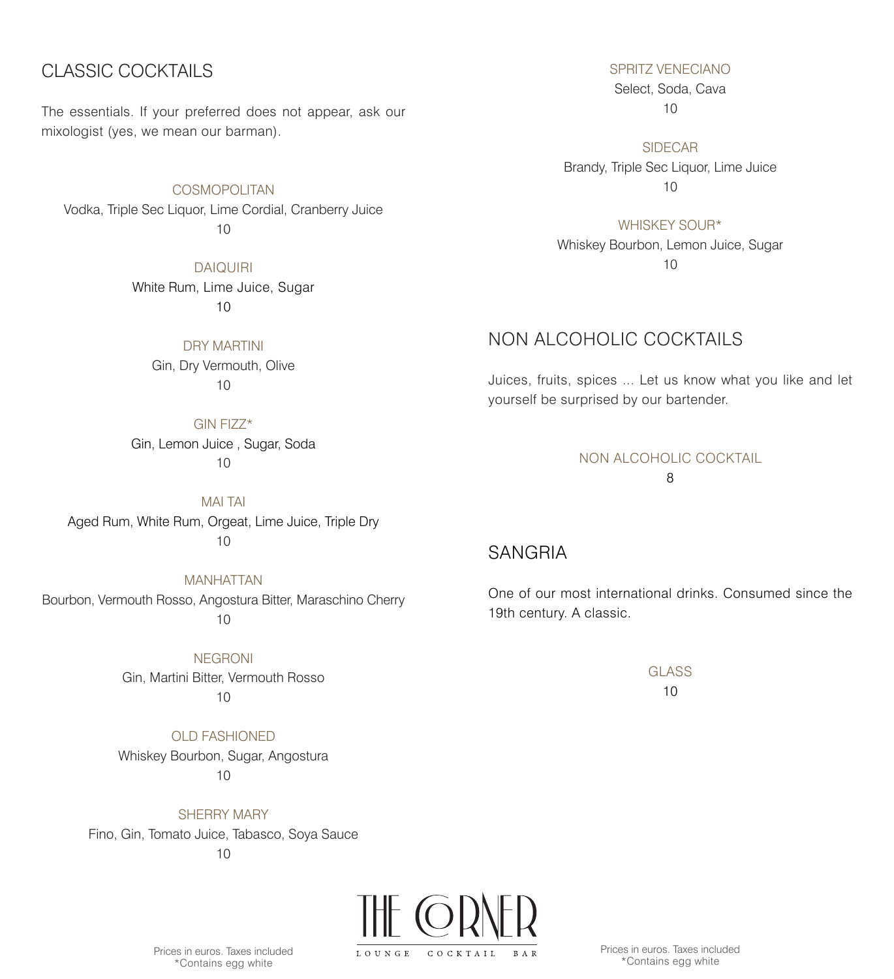# CLASSIC COCKTAILS

The essentials. If your preferred does not appear, ask our mixologist (yes, we mean our barman).

COSMOPOLITAN Vodka, Triple Sec Liquor, Lime Cordial, Cranberry Juice 10

> DAIQUIRI White Rum, Lime Juice, Sugar 10

> > DRY MARTINI Gin, Dry Vermouth, Olive  $10$

GIN FIZZ\* Gin, Lemon Juice , Sugar, Soda 10

MAI TAI Aged Rum, White Rum, Orgeat, Lime Juice, Triple Dry 10

MANHATTAN Bourbon, Vermouth Rosso, Angostura Bitter, Maraschino Cherry 10

> NEGRONI Gin, Martini Bitter, Vermouth Rosso 10

OLD FASHIONED Whiskey Bourbon, Sugar, Angostura 10

SHERRY MARY Fino, Gin, Tomato Juice, Tabasco, Soya Sauce 10

LOUNGE COCKTAIL

Prices in euros. Taxes included \*Contains egg white

SPRITZ VENECIANO

Select, Soda, Cava 10

SIDECAR Brandy, Triple Sec Liquor, Lime Juice 10

WHISKEY SOUR\*

Whiskey Bourbon, Lemon Juice, Sugar 10

# NON ALCOHOLIC COCKTAILS

Juices, fruits, spices ... Let us know what you like and let yourself be surprised by our bartender.

# NON ALCOHOLIC COCKTAIL

8

# SANGRIA

One of our most international drinks. Consumed since the 19th century. A classic.

> GLASS 10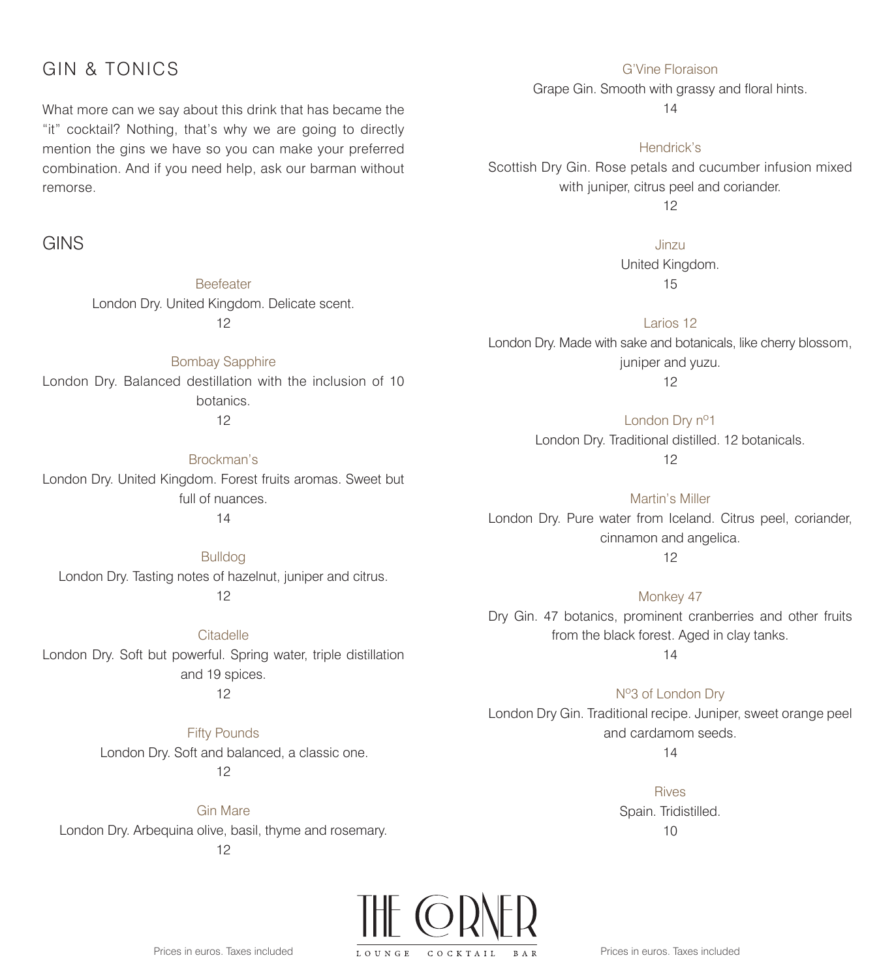### GIN & TONICS

What more can we say about this drink that has became the "it" cocktail? Nothing, that's why we are going to directly mention the gins we have so you can make your preferred combination. And if you need help, ask our barman without remorse.

#### GINS

Beefeater London Dry. United Kingdom. Delicate scent. 12

Bombay Sapphire London Dry. Balanced destillation with the inclusion of 10 botanics. 12

Brockman's London Dry. United Kingdom. Forest fruits aromas. Sweet but full of nuances. 14

Bulldog London Dry. Tasting notes of hazelnut, juniper and citrus. 12

**Citadelle** London Dry. Soft but powerful. Spring water, triple distillation and 19 spices. 12

> Fifty Pounds London Dry. Soft and balanced, a classic one. 12

Gin Mare London Dry. Arbequina olive, basil, thyme and rosemary.

12



Grape Gin. Smooth with grassy and floral hints.

14

Hendrick's

Scottish Dry Gin. Rose petals and cucumber infusion mixed with juniper, citrus peel and coriander.

12

Jinzu

United Kingdom. 15

Larios 12 London Dry. Made with sake and botanicals, like cherry blossom, juniper and yuzu.

12

London Dry nº1 London Dry. Traditional distilled. 12 botanicals. 12

Martin's Miller London Dry. Pure water from Iceland. Citrus peel, coriander, cinnamon and angelica.

12

Monkey 47 Dry Gin. 47 botanics, prominent cranberries and other fruits from the black forest. Aged in clay tanks.

14

Nº3 of London Dry London Dry Gin. Traditional recipe. Juniper, sweet orange peel and cardamom seeds.

14

Rives Spain. Tridistilled.  $1<sub>0</sub>$ 



Prices in euros. Taxes included

Prices in euros. Taxes included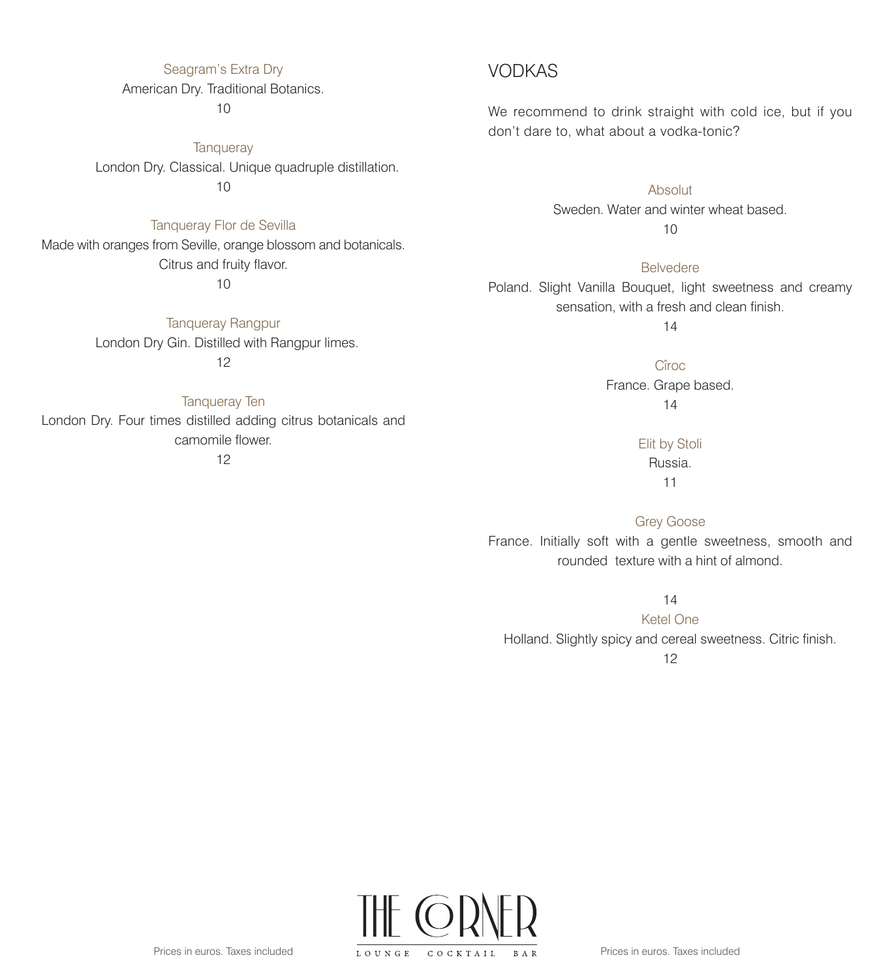#### Seagram's Extra Dry

#### American Dry. Traditional Botanics.

10

**Tanqueray** London Dry. Classical. Unique quadruple distillation. 10

Tanqueray Flor de Sevilla Made with oranges from Seville, orange blossom and botanicals. Citrus and fruity flavor.

10

Tanqueray Rangpur London Dry Gin. Distilled with Rangpur limes. 12

Tanqueray Ten London Dry. Four times distilled adding citrus botanicals and camomile flower.

12

#### VODKAS

We recommend to drink straight with cold ice, but if you don't dare to, what about a vodka-tonic?

> Absolut Sweden. Water and winter wheat based. 10

Belvedere Poland. Slight Vanilla Bouquet, light sweetness and creamy sensation, with a fresh and clean finish.

14

Cîroc France. Grape based. 14

> Elit by Stoli Russia. 11

Grey Goose France. Initially soft with a gentle sweetness, smooth and rounded texture with a hint of almond.

14

Ketel One Holland. Slightly spicy and cereal sweetness. Citric finish.

12

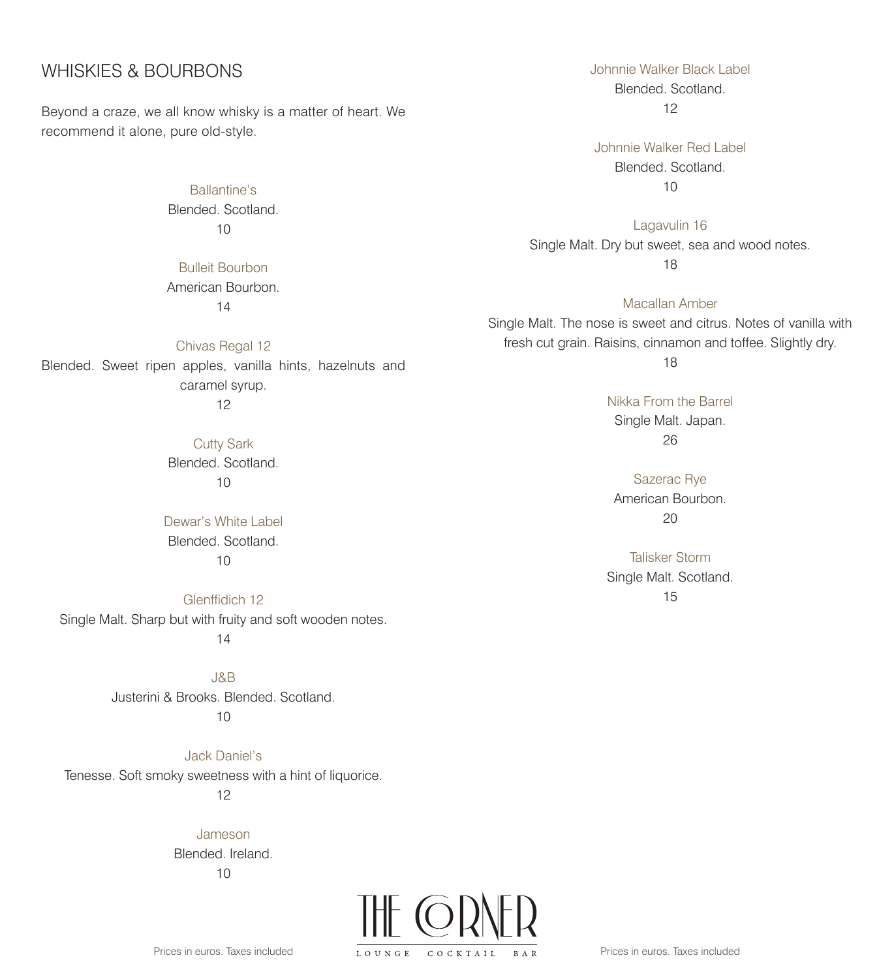### WHISKIES & BOURBONS

Beyond a craze, we all know whisky is a matter of heart. We recommend it alone, pure old-style.

> Ballantine's Blended. Scotland. 10

> Bulleit Bourbon American Bourbon.

14

Chivas Regal 12 Blended. Sweet ripen apples, vanilla hints, hazelnuts and caramel syrup. 12

Cutty Sark Blended. Scotland. 10

Dewar's White Label Blended. Scotland. 10

Glenffidich 12 Single Malt. Sharp but with fruity and soft wooden notes. 14

> J&B Justerini & Brooks. Blended. Scotland. 10

Jack Daniel's Tenesse. Soft smoky sweetness with a hint of liquorice.

12

Jameson Blended. Ireland. 10



Johnnie Walker Black Label Blended. Scotland. 12

Johnnie Walker Red Label Blended. Scotland. 10

Lagavulin 16 Single Malt. Dry but sweet, sea and wood notes. 18

Macallan Amber Single Malt. The nose is sweet and citrus. Notes of vanilla with fresh cut grain. Raisins, cinnamon and toffee. Slightly dry. 18

Nikka From the Barrel Single Malt. Japan. 26

Sazerac Rye American Bourbon. 20

Talisker Storm Single Malt. Scotland. 15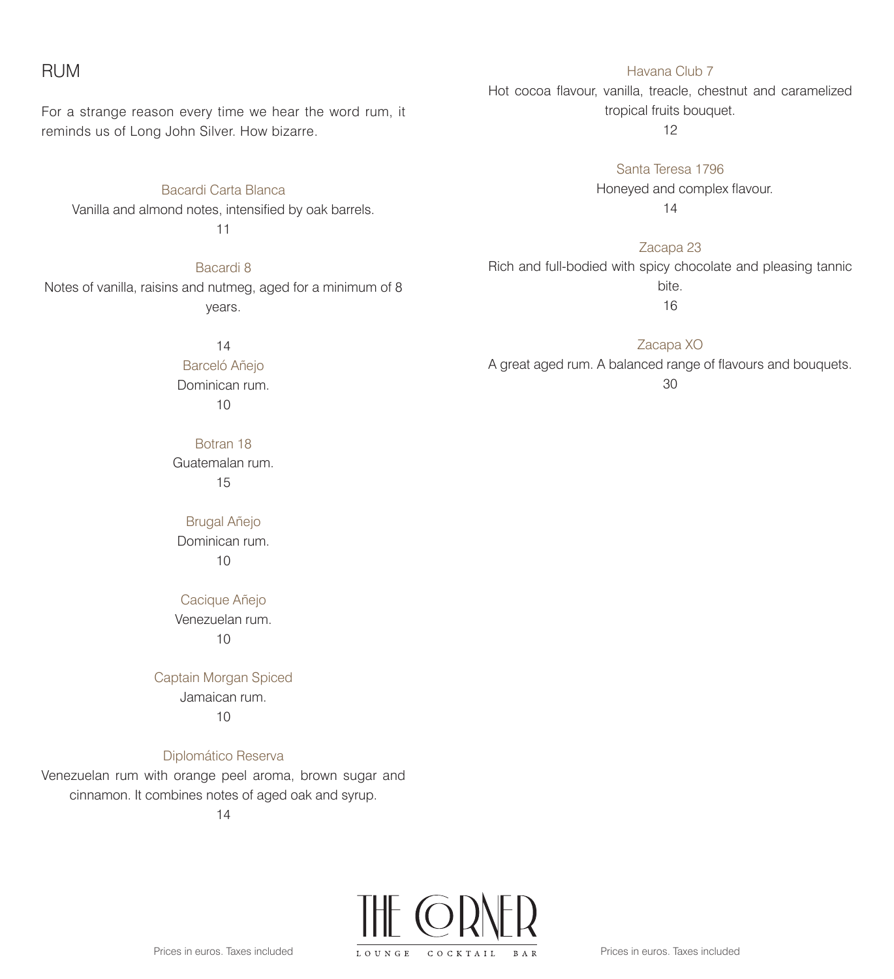#### RUM

For a strange reason every time we hear the word rum, it reminds us of Long John Silver. How bizarre.

Bacardi Carta Blanca Vanilla and almond notes, intensified by oak barrels. 11

Bacardi 8 Notes of vanilla, raisins and nutmeg, aged for a minimum of 8 years.

> 14 Barceló Añejo Dominican rum. 10

Botran 18 Guatemalan rum. 15

Brugal Añejo Dominican rum. 10

Cacique Añejo Venezuelan rum. 10

Captain Morgan Spiced Jamaican rum.

10

Diplomático Reserva

Venezuelan rum with orange peel aroma, brown sugar and cinnamon. It combines notes of aged oak and syrup.

14

Prices in euros. Taxes included



Havana Club 7 Hot cocoa flavour, vanilla, treacle, chestnut and caramelized tropical fruits bouquet.

12

Santa Teresa 1796 Honeyed and complex flavour. 14

Zacapa 23 Rich and full-bodied with spicy chocolate and pleasing tannic bite. 16

Zacapa XO A great aged rum. A balanced range of flavours and bouquets. 30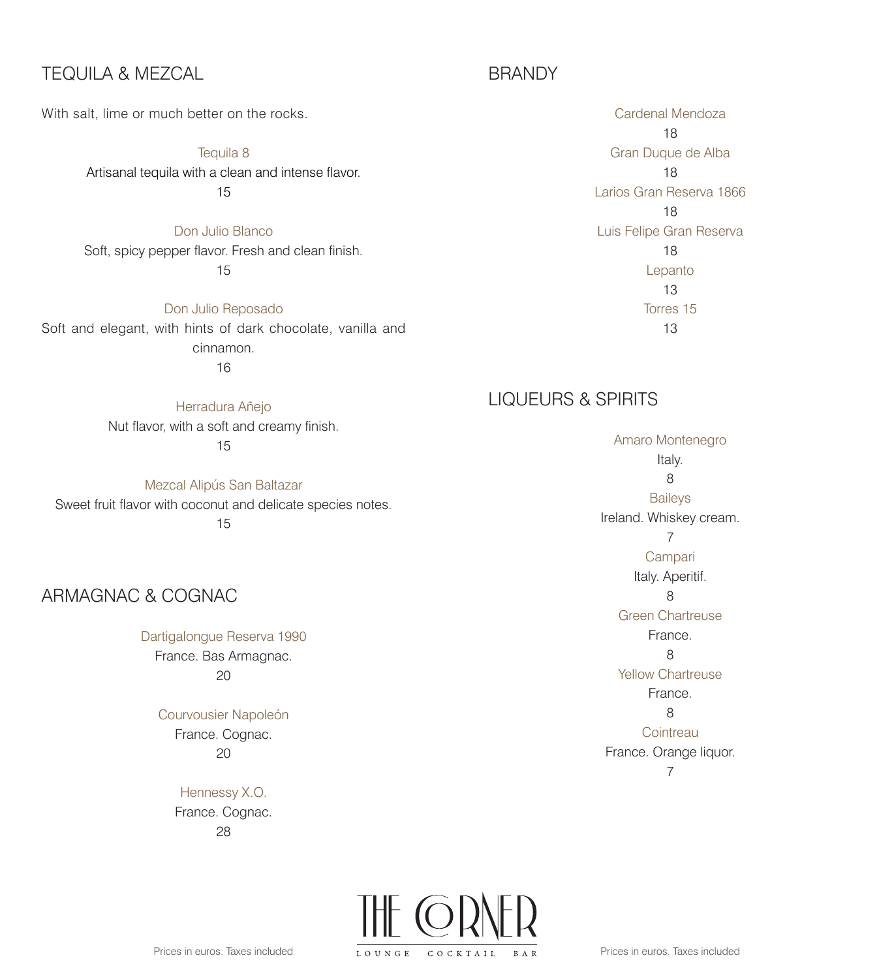### TEQUILA & MEZCAL

With salt, lime or much better on the rocks.

Tequila 8 Artisanal tequila with a clean and intense flavor. 15

Don Julio Blanco Soft, spicy pepper flavor. Fresh and clean finish. 15

Don Julio Reposado Soft and elegant, with hints of dark chocolate, vanilla and cinnamon. 16

> Herradura Añejo Nut flavor, with a soft and creamy finish. 15

Mezcal Alipús San Baltazar Sweet fruit flavor with coconut and delicate species notes. 15

# ARMAGNAC & COGNAC

Dartigalongue Reserva 1990 France. Bas Armagnac. 20

> Courvousier Napoleón France. Cognac. 20

> > Hennessy X.O. France. Cognac. 28

# BRANDY

Cardenal Mendoza 18 Gran Duque de Alba 18 Larios Gran Reserva 1866 18 Luis Felipe Gran Reserva 18 Lepanto 13 Torres 15 13

# LIQUEURS & SPIRITS

Amaro Montenegro Italy. 8 **Baileys** Ireland. Whiskey cream. 7 Campari Italy. Aperitif. 8 Green Chartreuse France. 8 Yellow Chartreuse France. 8 **Cointreau** France. Orange liquor. 7